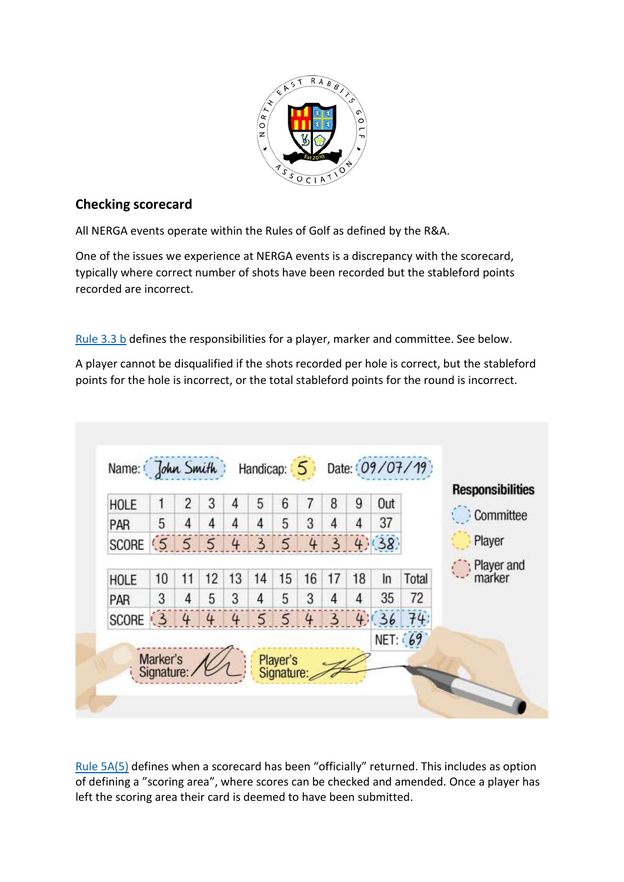

## **Checking scorecard**

All NERGA events operate within the Rules of Golf as defined by the R&A.

One of the issues we experience at NERGA events is a discrepancy with the scorecard, typically where correct number of shots have been recorded but the stableford points recorded are incorrect.

[Rule 3.3 b](https://www.randa.org/en/rog/2019/rules/the-rules-of-golf/rule-3#3-3b) defines the responsibilities for a player, marker and committee. See below.

A player cannot be disqualified if the shots recorded per hole is correct, but the stableford points for the hole is incorrect, or the total stableford points for the round is incorrect.



[Rule 5A\(5\)](https://www.randa.org/en/rog/2019/rules/committee-procedures/5a#5) defines when a scorecard has been "officially" returned. This includes as option of defining a "scoring area", where scores can be checked and amended. Once a player has left the scoring area their card is deemed to have been submitted.